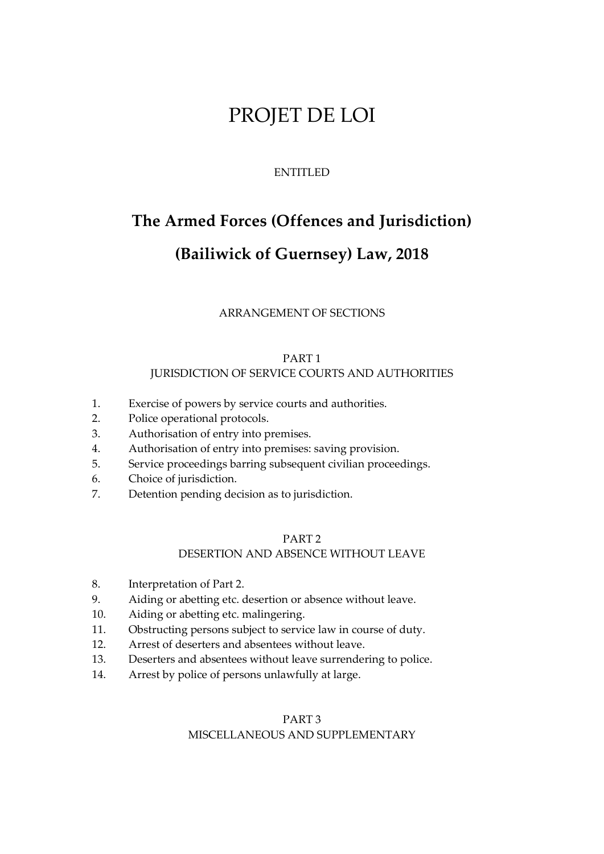## PROJET DE LOI

## ENTITLED

# **The Armed Forces (Offences and Jurisdiction) (Bailiwick of Guernsey) Law, 2018**

ARRANGEMENT OF SECTIONS

## PART 1 JURISDICTION OF SERVICE COURTS AND AUTHORITIES

- 1. Exercise of powers by service courts and authorities.
- 2. Police operational protocols.
- 3. Authorisation of entry into premises.
- 4. Authorisation of entry into premises: saving provision.
- 5. Service proceedings barring subsequent civilian proceedings.
- 6. Choice of jurisdiction.
- 7. Detention pending decision as to jurisdiction.

## PART 2

## DESERTION AND ABSENCE WITHOUT LEAVE

- 8. Interpretation of Part 2.
- 9. Aiding or abetting etc. desertion or absence without leave.
- 10. Aiding or abetting etc. malingering.
- 11. Obstructing persons subject to service law in course of duty.
- 12. Arrest of deserters and absentees without leave.
- 13. Deserters and absentees without leave surrendering to police.
- 14. Arrest by police of persons unlawfully at large.

## PART 3 MISCELLANEOUS AND SUPPLEMENTARY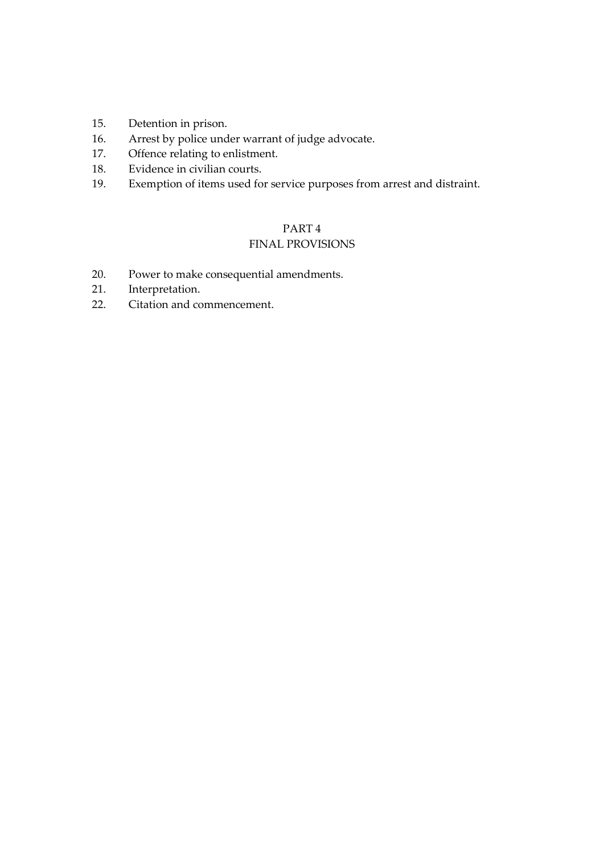- 15. Detention in prison.
- 16. Arrest by police under warrant of judge advocate.
- 17. Offence relating to enlistment.
- 18. Evidence in civilian courts.
- 19. Exemption of items used for service purposes from arrest and distraint.

## PART 4

## FINAL PROVISIONS

- 20. Power to make consequential amendments.
- 21. Interpretation.
- 22. Citation and commencement.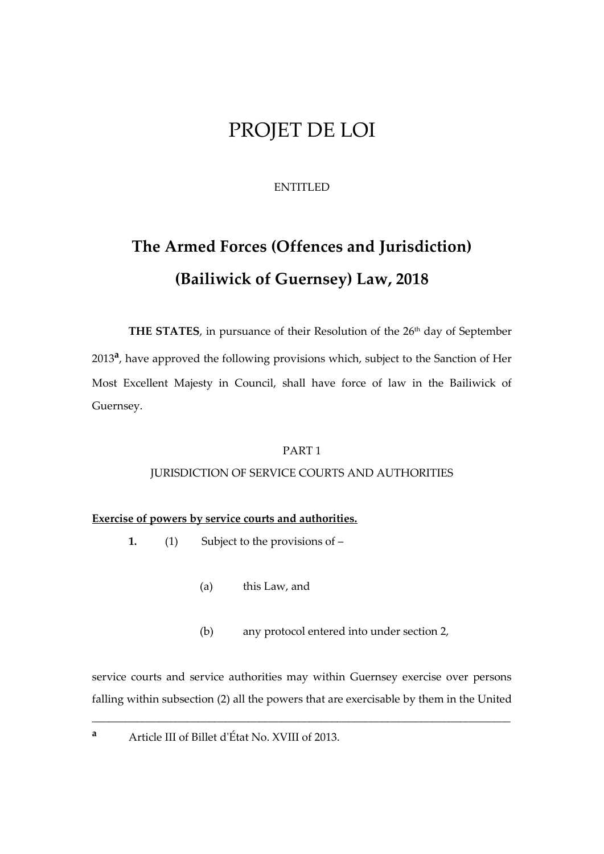## PROJET DE LOI

## ENTITLED

# **The Armed Forces (Offences and Jurisdiction) (Bailiwick of Guernsey) Law, 2018**

**THE STATES**, in pursuance of their Resolution of the 26<sup>th</sup> day of September 2013**<sup>a</sup>** , have approved the following provisions which, subject to the Sanction of Her Most Excellent Majesty in Council, shall have force of law in the Bailiwick of Guernsey.

## PART 1

## JURISDICTION OF SERVICE COURTS AND AUTHORITIES

## **Exercise of powers by service courts and authorities.**

- **1.** (1) Subject to the provisions of
	- (a) this Law, and
	- (b) any protocol entered into under section 2,

service courts and service authorities may within Guernsey exercise over persons falling within subsection (2) all the powers that are exercisable by them in the United

\_\_\_\_\_\_\_\_\_\_\_\_\_\_\_\_\_\_\_\_\_\_\_\_\_\_\_\_\_\_\_\_\_\_\_\_\_\_\_\_\_\_\_\_\_\_\_\_\_\_\_\_\_\_\_\_\_\_\_\_\_\_\_\_\_\_\_\_\_\_\_\_\_\_\_

**<sup>a</sup>** Article III of Billet d'État No. XVIII of 2013.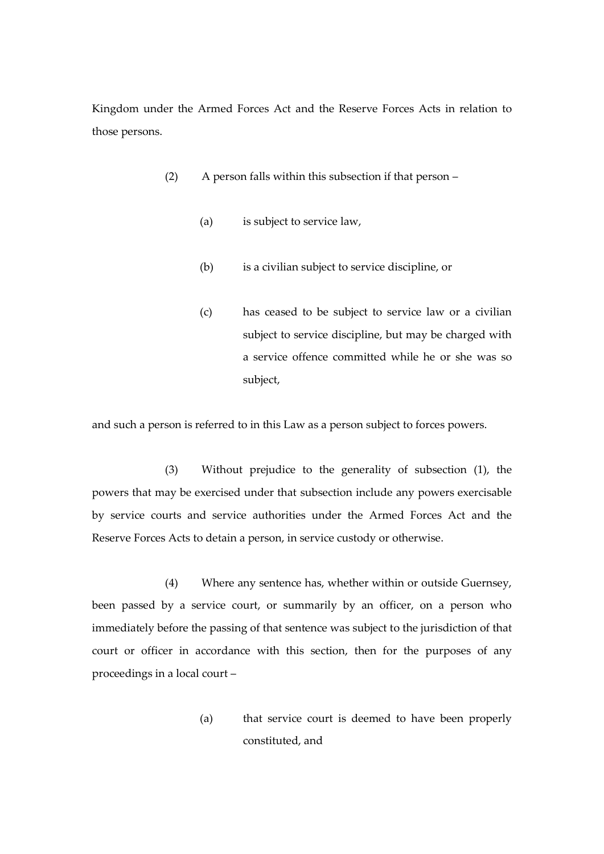Kingdom under the Armed Forces Act and the Reserve Forces Acts in relation to those persons.

- (2) A person falls within this subsection if that person
	- (a) is subject to service law,
	- (b) is a civilian subject to service discipline, or
	- (c) has ceased to be subject to service law or a civilian subject to service discipline, but may be charged with a service offence committed while he or she was so subject,

and such a person is referred to in this Law as a person subject to forces powers.

(3) Without prejudice to the generality of subsection (1), the powers that may be exercised under that subsection include any powers exercisable by service courts and service authorities under the Armed Forces Act and the Reserve Forces Acts to detain a person, in service custody or otherwise.

(4) Where any sentence has, whether within or outside Guernsey, been passed by a service court, or summarily by an officer, on a person who immediately before the passing of that sentence was subject to the jurisdiction of that court or officer in accordance with this section, then for the purposes of any proceedings in a local court –

> (a) that service court is deemed to have been properly constituted, and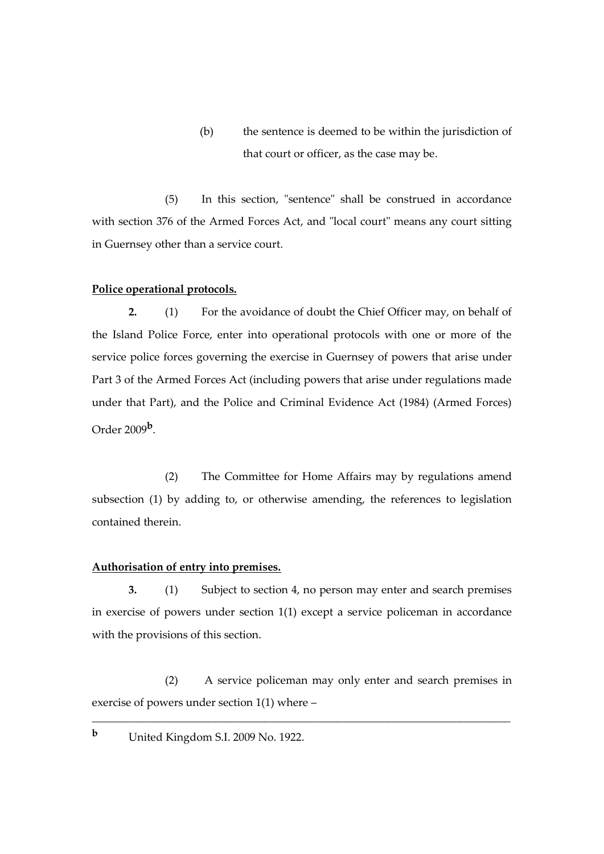(b) the sentence is deemed to be within the jurisdiction of that court or officer, as the case may be.

(5) In this section, "sentence" shall be construed in accordance with section 376 of the Armed Forces Act, and "local court" means any court sitting in Guernsey other than a service court.

#### **Police operational protocols.**

**2.** (1) For the avoidance of doubt the Chief Officer may, on behalf of the Island Police Force, enter into operational protocols with one or more of the service police forces governing the exercise in Guernsey of powers that arise under Part 3 of the Armed Forces Act (including powers that arise under regulations made under that Part), and the Police and Criminal Evidence Act (1984) (Armed Forces) Order 2009**<sup>b</sup>** .

(2) The Committee for Home Affairs may by regulations amend subsection (1) by adding to, or otherwise amending, the references to legislation contained therein.

#### **Authorisation of entry into premises.**

**3.** (1) Subject to section 4, no person may enter and search premises in exercise of powers under section 1(1) except a service policeman in accordance with the provisions of this section.

(2) A service policeman may only enter and search premises in exercise of powers under section 1(1) where –

\_\_\_\_\_\_\_\_\_\_\_\_\_\_\_\_\_\_\_\_\_\_\_\_\_\_\_\_\_\_\_\_\_\_\_\_\_\_\_\_\_\_\_\_\_\_\_\_\_\_\_\_\_\_\_\_\_\_\_\_\_\_\_\_\_\_\_\_\_\_\_\_\_\_\_

**<sup>b</sup>** United Kingdom S.I. 2009 No. 1922.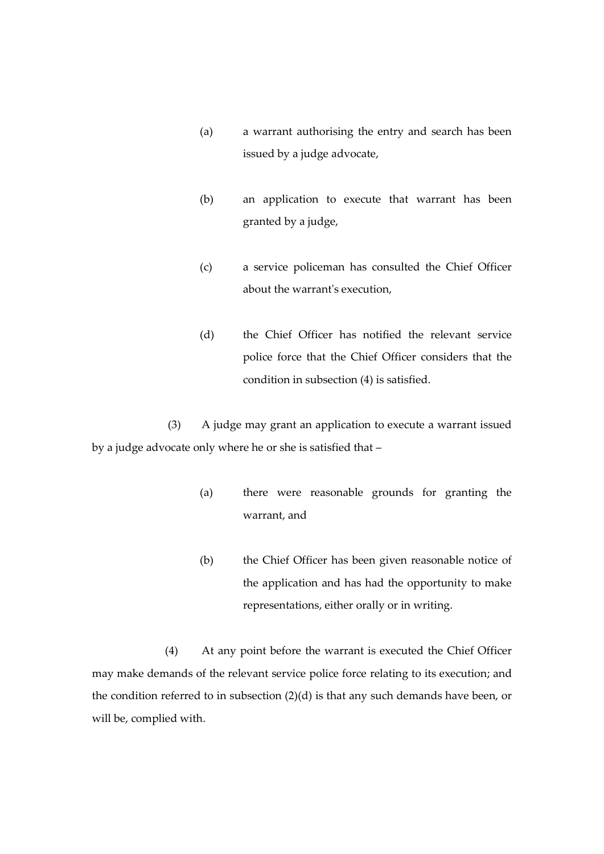- (a) a warrant authorising the entry and search has been issued by a judge advocate,
- (b) an application to execute that warrant has been granted by a judge,
- (c) a service policeman has consulted the Chief Officer about the warrant's execution,
- (d) the Chief Officer has notified the relevant service police force that the Chief Officer considers that the condition in subsection (4) is satisfied.

(3) A judge may grant an application to execute a warrant issued by a judge advocate only where he or she is satisfied that –

- (a) there were reasonable grounds for granting the warrant, and
- (b) the Chief Officer has been given reasonable notice of the application and has had the opportunity to make representations, either orally or in writing.

(4) At any point before the warrant is executed the Chief Officer may make demands of the relevant service police force relating to its execution; and the condition referred to in subsection (2)(d) is that any such demands have been, or will be, complied with.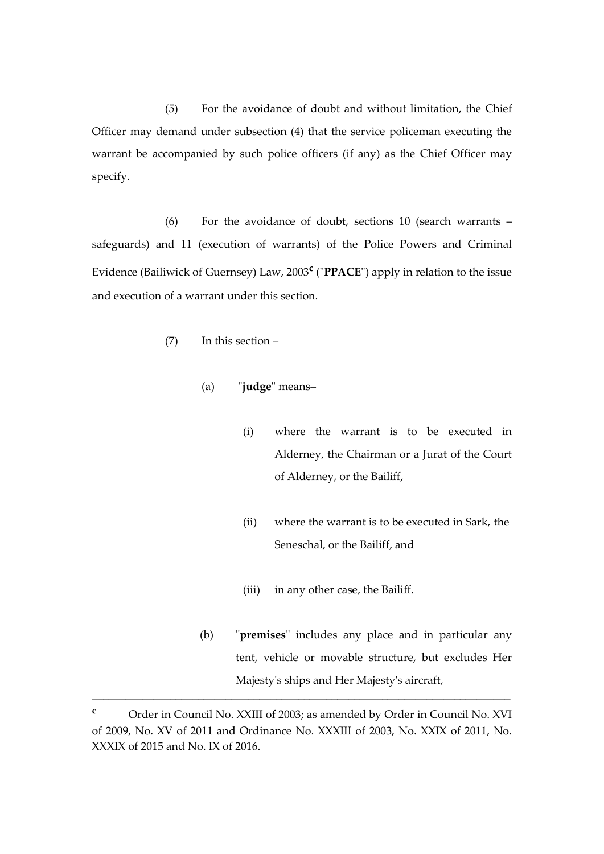(5) For the avoidance of doubt and without limitation, the Chief Officer may demand under subsection (4) that the service policeman executing the warrant be accompanied by such police officers (if any) as the Chief Officer may specify.

(6) For the avoidance of doubt, sections 10 (search warrants – safeguards) and 11 (execution of warrants) of the Police Powers and Criminal Evidence (Bailiwick of Guernsey) Law, 2003**<sup>c</sup>** ("**PPACE**") apply in relation to the issue and execution of a warrant under this section.

- (7) In this section
	- (a) "**judge**" means–
		- (i) where the warrant is to be executed in Alderney, the Chairman or a Jurat of the Court of Alderney, or the Bailiff,
		- (ii) where the warrant is to be executed in Sark, the Seneschal, or the Bailiff, and
		- (iii) in any other case, the Bailiff.
	- (b) "**premises**" includes any place and in particular any tent, vehicle or movable structure, but excludes Her Majesty's ships and Her Majesty's aircraft,

\_\_\_\_\_\_\_\_\_\_\_\_\_\_\_\_\_\_\_\_\_\_\_\_\_\_\_\_\_\_\_\_\_\_\_\_\_\_\_\_\_\_\_\_\_\_\_\_\_\_\_\_\_\_\_\_\_\_\_\_\_\_\_\_\_\_\_\_\_\_\_\_\_\_\_

**<sup>c</sup>** Order in Council No. XXIII of 2003; as amended by Order in Council No. XVI of 2009, No. XV of 2011 and Ordinance No. XXXIII of 2003, No. XXIX of 2011, No. XXXIX of 2015 and No. IX of 2016.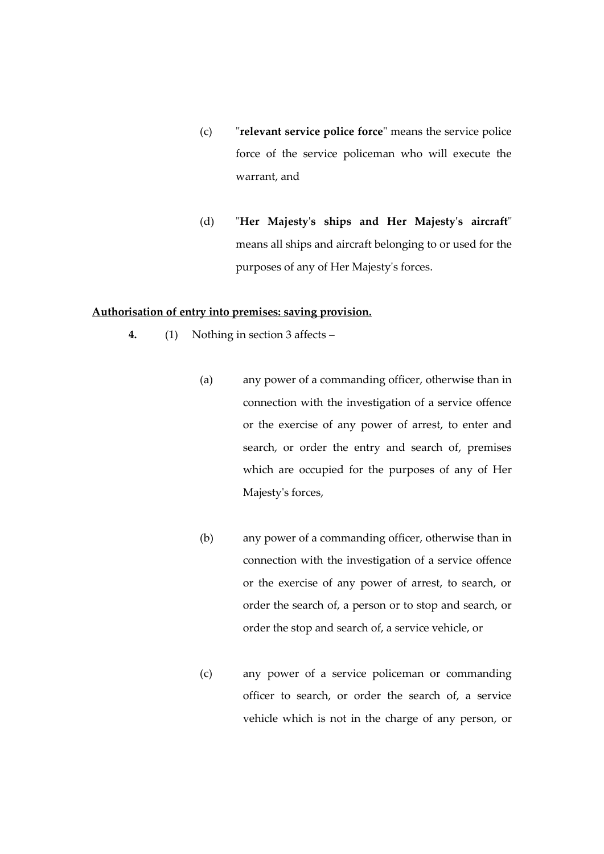- (c) "**relevant service police force**" means the service police force of the service policeman who will execute the warrant, and
- (d) "**Her Majesty's ships and Her Majesty's aircraft**" means all ships and aircraft belonging to or used for the purposes of any of Her Majesty's forces.

#### **Authorisation of entry into premises: saving provision.**

- **4.** (1) Nothing in section 3 affects
	- (a) any power of a commanding officer, otherwise than in connection with the investigation of a service offence or the exercise of any power of arrest, to enter and search, or order the entry and search of, premises which are occupied for the purposes of any of Her Majesty's forces,
	- (b) any power of a commanding officer, otherwise than in connection with the investigation of a service offence or the exercise of any power of arrest, to search, or order the search of, a person or to stop and search, or order the stop and search of, a service vehicle, or
	- (c) any power of a service policeman or commanding officer to search, or order the search of, a service vehicle which is not in the charge of any person, or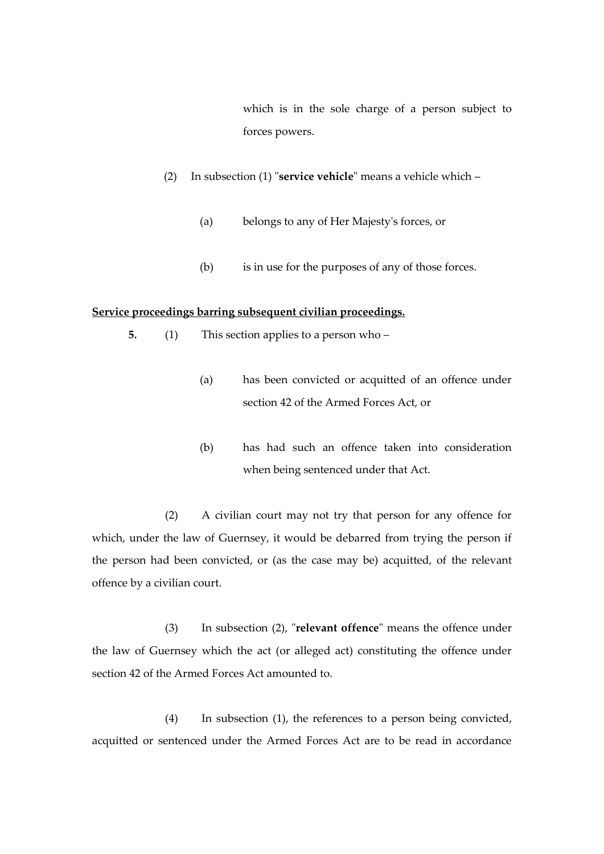which is in the sole charge of a person subject to forces powers.

- (2) In subsection (1) "**service vehicle**" means a vehicle which
	- (a) belongs to any of Her Majesty's forces, or
	- (b) is in use for the purposes of any of those forces.

#### **Service proceedings barring subsequent civilian proceedings.**

- **5.** (1) This section applies to a person who
	- (a) has been convicted or acquitted of an offence under section 42 of the Armed Forces Act, or
	- (b) has had such an offence taken into consideration when being sentenced under that Act.

(2) A civilian court may not try that person for any offence for which, under the law of Guernsey, it would be debarred from trying the person if the person had been convicted, or (as the case may be) acquitted, of the relevant offence by a civilian court.

(3) In subsection (2), "**relevant offence**" means the offence under the law of Guernsey which the act (or alleged act) constituting the offence under section 42 of the Armed Forces Act amounted to.

(4) In subsection (1), the references to a person being convicted, acquitted or sentenced under the Armed Forces Act are to be read in accordance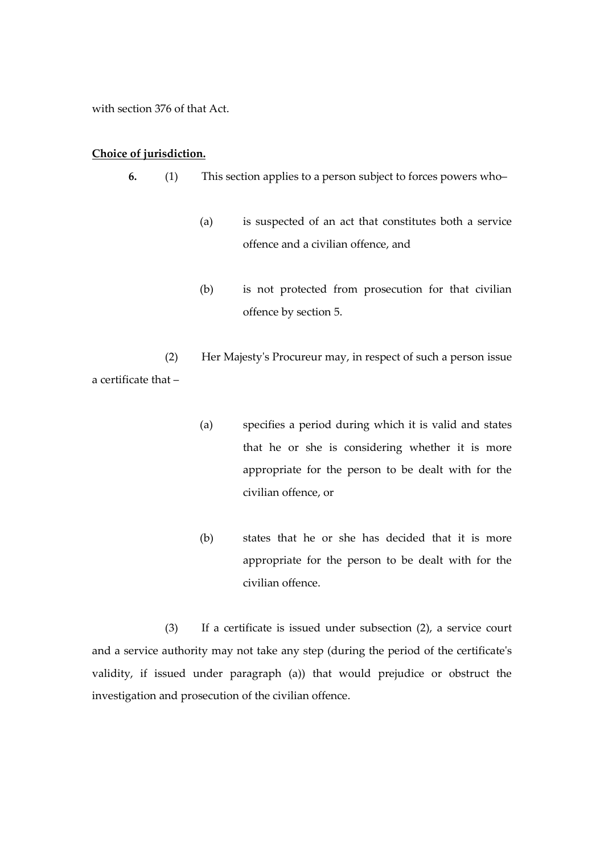with section 376 of that Act.

#### **Choice of jurisdiction.**

- **6.** (1) This section applies to a person subject to forces powers who–
	- (a) is suspected of an act that constitutes both a service offence and a civilian offence, and
	- (b) is not protected from prosecution for that civilian offence by section 5.

(2) Her Majesty's Procureur may, in respect of such a person issue a certificate that –

- (a) specifies a period during which it is valid and states that he or she is considering whether it is more appropriate for the person to be dealt with for the civilian offence, or
- (b) states that he or she has decided that it is more appropriate for the person to be dealt with for the civilian offence.

(3) If a certificate is issued under subsection (2), a service court and a service authority may not take any step (during the period of the certificate's validity, if issued under paragraph (a)) that would prejudice or obstruct the investigation and prosecution of the civilian offence.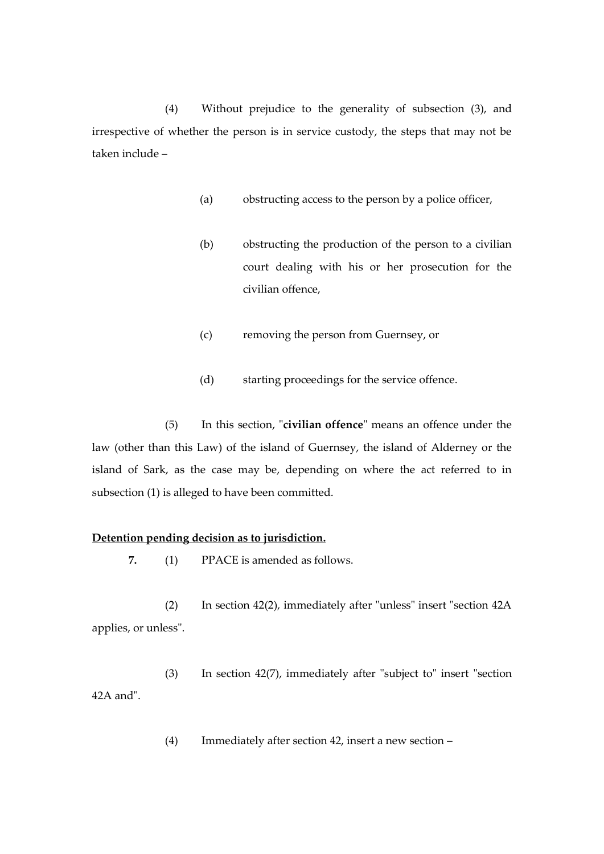(4) Without prejudice to the generality of subsection (3), and irrespective of whether the person is in service custody, the steps that may not be taken include –

- (a) obstructing access to the person by a police officer,
- (b) obstructing the production of the person to a civilian court dealing with his or her prosecution for the civilian offence,
- (c) removing the person from Guernsey, or
- (d) starting proceedings for the service offence.

(5) In this section, "**civilian offence**" means an offence under the law (other than this Law) of the island of Guernsey, the island of Alderney or the island of Sark, as the case may be, depending on where the act referred to in subsection (1) is alleged to have been committed.

#### **Detention pending decision as to jurisdiction.**

**7.** (1) PPACE is amended as follows.

(2) In section 42(2), immediately after "unless" insert "section 42A applies, or unless".

(3) In section 42(7), immediately after "subject to" insert "section 42A and".

(4) Immediately after section 42, insert a new section –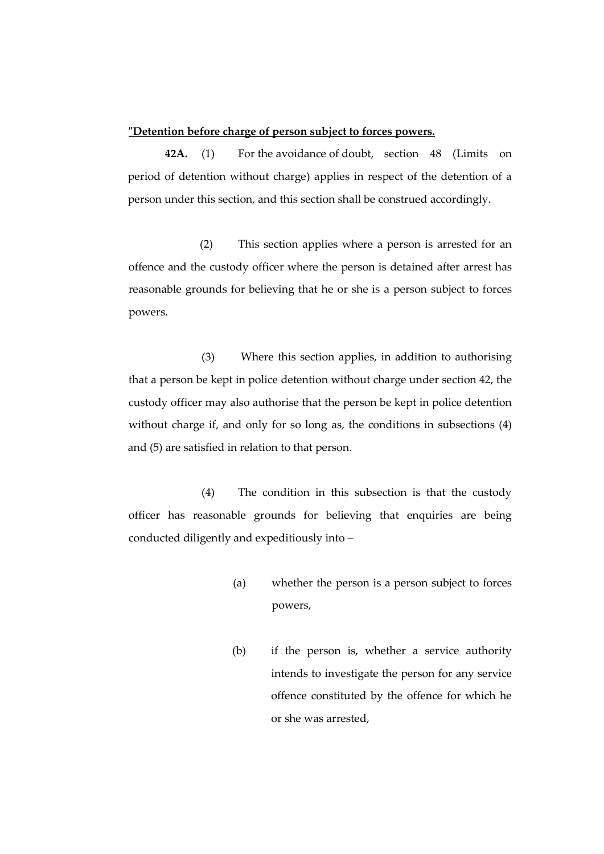#### **"Detention before charge of person subject to forces powers.**

**42A.** (1) For the avoidance of doubt, section 48 (Limits on period of detention without charge) applies in respect of the detention of a person under this section, and this section shall be construed accordingly.

(2) This section applies where a person is arrested for an offence and the custody officer where the person is detained after arrest has reasonable grounds for believing that he or she is a person subject to forces powers.

(3) Where this section applies, in addition to authorising that a person be kept in police detention without charge under section 42, the custody officer may also authorise that the person be kept in police detention without charge if, and only for so long as, the conditions in subsections  $(4)$ and (5) are satisfied in relation to that person.

(4) The condition in this subsection is that the custody officer has reasonable grounds for believing that enquiries are being conducted diligently and expeditiously into –

- (a) whether the person is a person subject to forces powers,
- (b) if the person is, whether a service authority intends to investigate the person for any service offence constituted by the offence for which he or she was arrested,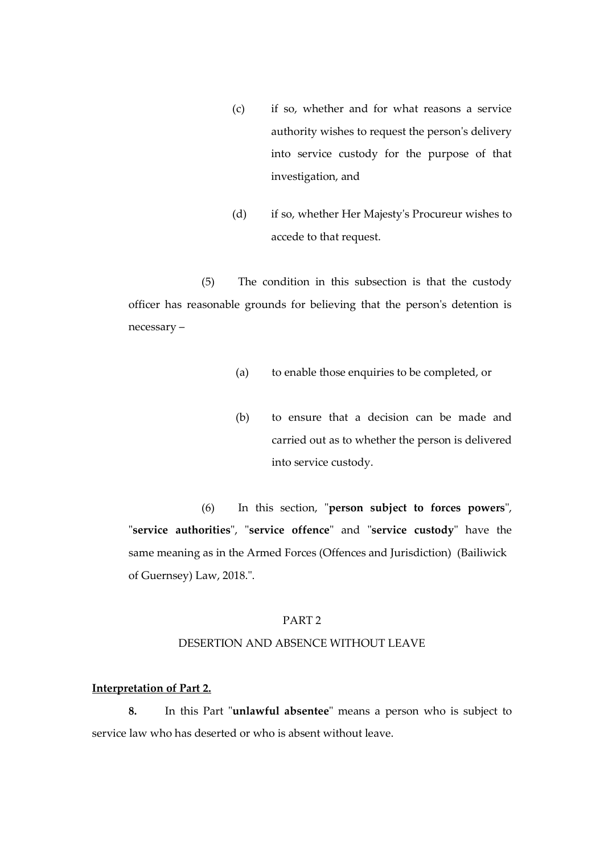- (c) if so, whether and for what reasons a service authority wishes to request the person's delivery into service custody for the purpose of that investigation, and
- (d) if so, whether Her Majesty's Procureur wishes to accede to that request.

(5) The condition in this subsection is that the custody officer has reasonable grounds for believing that the person's detention is necessary –

- (a) to enable those enquiries to be completed, or
- (b) to ensure that a decision can be made and carried out as to whether the person is delivered into service custody.

(6) In this section, "**person subject to forces powers**", "**service authorities**", "**service offence**" and "**service custody**" have the same meaning as in the Armed Forces (Offences and Jurisdiction) (Bailiwick of Guernsey) Law, 2018.".

#### PART 2

#### DESERTION AND ABSENCE WITHOUT LEAVE

#### **Interpretation of Part 2.**

**8.** In this Part "**unlawful absentee**" means a person who is subject to service law who has deserted or who is absent without leave.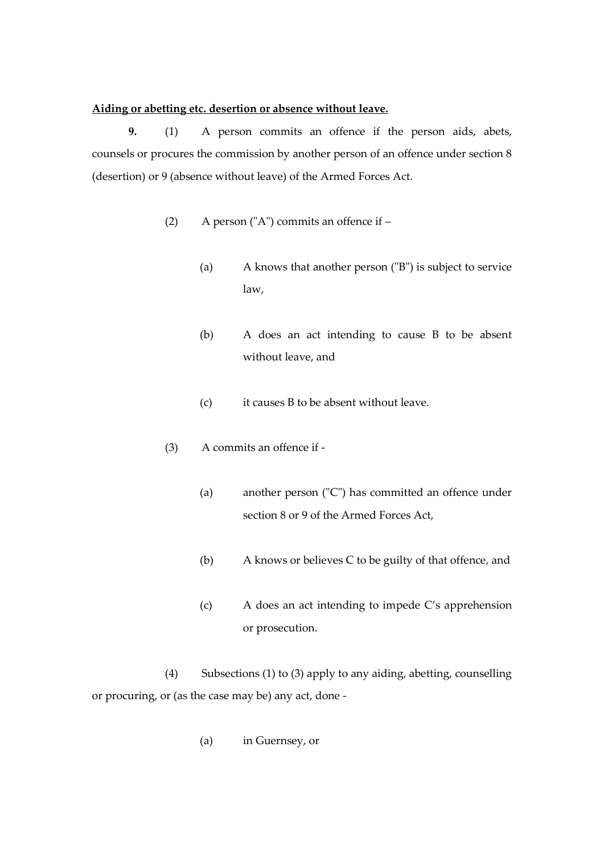#### **Aiding or abetting etc. desertion or absence without leave.**

**9.** (1) A person commits an offence if the person aids, abets, counsels or procures the commission by another person of an offence under section 8 (desertion) or 9 (absence without leave) of the Armed Forces Act.

- (2) A person ("A") commits an offence if
	- (a) A knows that another person ("B") is subject to service law,
	- (b) A does an act intending to cause B to be absent without leave, and
	- (c) it causes B to be absent without leave.
- (3) A commits an offence if
	- (a) another person ("C") has committed an offence under section 8 or 9 of the Armed Forces Act,
	- (b) A knows or believes C to be guilty of that offence, and
	- (c) A does an act intending to impede C's apprehension or prosecution.

(4) Subsections (1) to (3) apply to any aiding, abetting, counselling or procuring, or (as the case may be) any act, done -

(a) in Guernsey, or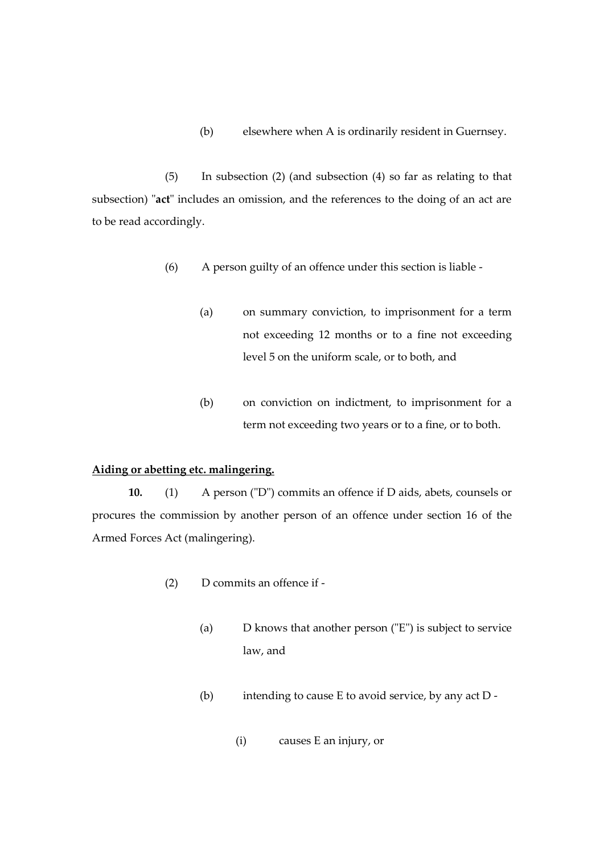(b) elsewhere when A is ordinarily resident in Guernsey.

(5) In subsection (2) (and subsection (4) so far as relating to that subsection) "**act**" includes an omission, and the references to the doing of an act are to be read accordingly.

- (6) A person guilty of an offence under this section is liable
	- (a) on summary conviction, to imprisonment for a term not exceeding 12 months or to a fine not exceeding level 5 on the uniform scale, or to both, and
	- (b) on conviction on indictment, to imprisonment for a term not exceeding two years or to a fine, or to both.

## **Aiding or abetting etc. malingering.**

**10.** (1) A person ("D") commits an offence if D aids, abets, counsels or procures the commission by another person of an offence under section 16 of the Armed Forces Act (malingering).

- (2) D commits an offence if
	- (a) D knows that another person ("E") is subject to service law, and
	- (b) intending to cause E to avoid service, by any act D
		- (i) causes E an injury, or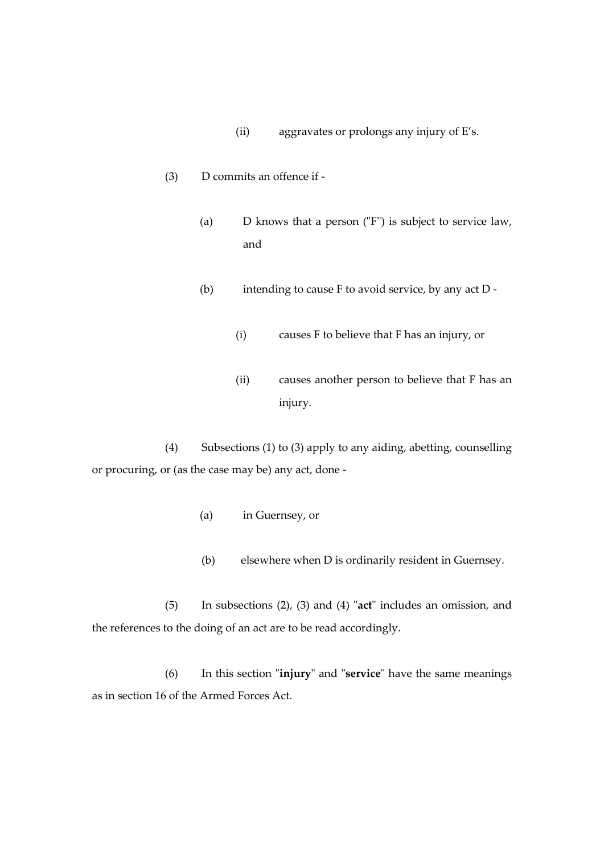- (ii) aggravates or prolongs any injury of E's.
- (3) D commits an offence if
	- (a) D knows that a person ("F") is subject to service law, and
	- (b) intending to cause F to avoid service, by any act D
		- (i) causes F to believe that F has an injury, or
		- (ii) causes another person to believe that F has an injury.

(4) Subsections (1) to (3) apply to any aiding, abetting, counselling or procuring, or (as the case may be) any act, done -

- (a) in Guernsey, or
- (b) elsewhere when D is ordinarily resident in Guernsey.

(5) In subsections (2), (3) and (4) "**act**" includes an omission, and the references to the doing of an act are to be read accordingly.

(6) In this section "**injury**" and "**service**" have the same meanings as in section 16 of the Armed Forces Act.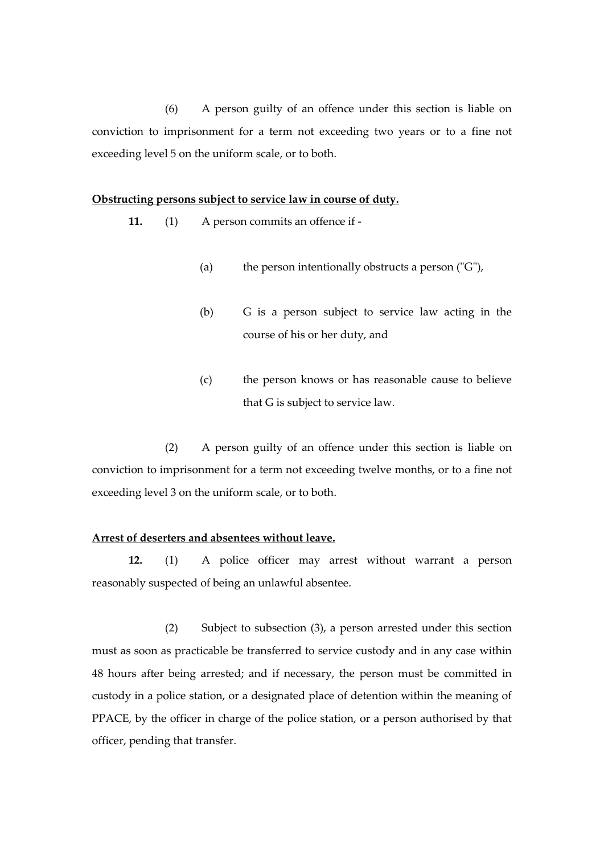(6) A person guilty of an offence under this section is liable on conviction to imprisonment for a term not exceeding two years or to a fine not exceeding level 5 on the uniform scale, or to both.

#### **Obstructing persons subject to service law in course of duty.**

**11.** (1) A person commits an offence if -

- (a) the person intentionally obstructs a person  $(TG'')$ ,
- (b) G is a person subject to service law acting in the course of his or her duty, and
- (c) the person knows or has reasonable cause to believe that G is subject to service law.

(2) A person guilty of an offence under this section is liable on conviction to imprisonment for a term not exceeding twelve months, or to a fine not exceeding level 3 on the uniform scale, or to both.

#### **Arrest of deserters and absentees without leave.**

**12.** (1) A police officer may arrest without warrant a person reasonably suspected of being an unlawful absentee.

(2) Subject to subsection (3), a person arrested under this section must as soon as practicable be transferred to service custody and in any case within 48 hours after being arrested; and if necessary, the person must be committed in custody in a police station, or a designated place of detention within the meaning of PPACE, by the officer in charge of the police station, or a person authorised by that officer, pending that transfer.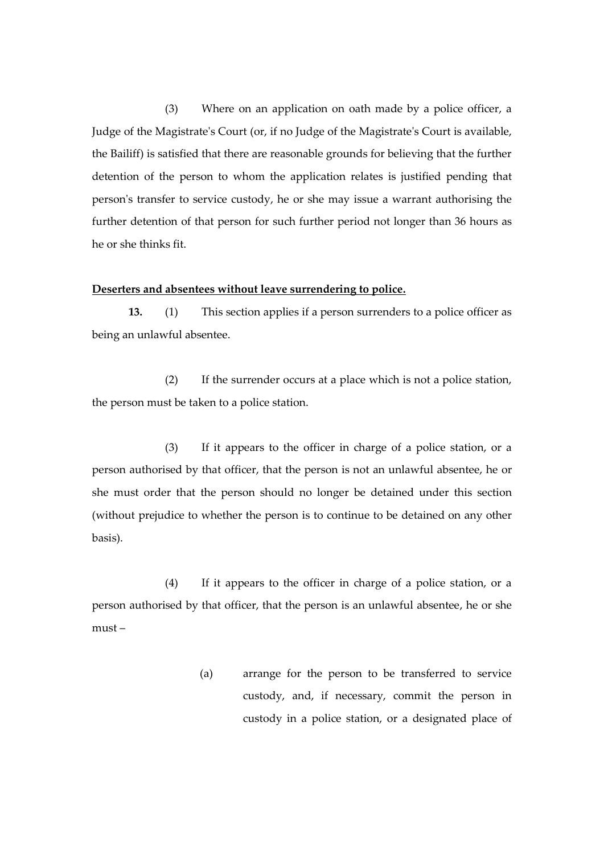(3) Where on an application on oath made by a police officer, a Judge of the Magistrate's Court (or, if no Judge of the Magistrate's Court is available, the Bailiff) is satisfied that there are reasonable grounds for believing that the further detention of the person to whom the application relates is justified pending that person's transfer to service custody, he or she may issue a warrant authorising the further detention of that person for such further period not longer than 36 hours as he or she thinks fit.

#### **Deserters and absentees without leave surrendering to police.**

**13.** (1) This section applies if a person surrenders to a police officer as being an unlawful absentee.

(2) If the surrender occurs at a place which is not a police station, the person must be taken to a police station.

(3) If it appears to the officer in charge of a police station, or a person authorised by that officer, that the person is not an unlawful absentee, he or she must order that the person should no longer be detained under this section (without prejudice to whether the person is to continue to be detained on any other basis).

(4) If it appears to the officer in charge of a police station, or a person authorised by that officer, that the person is an unlawful absentee, he or she must –

> (a) arrange for the person to be transferred to service custody, and, if necessary, commit the person in custody in a police station, or a designated place of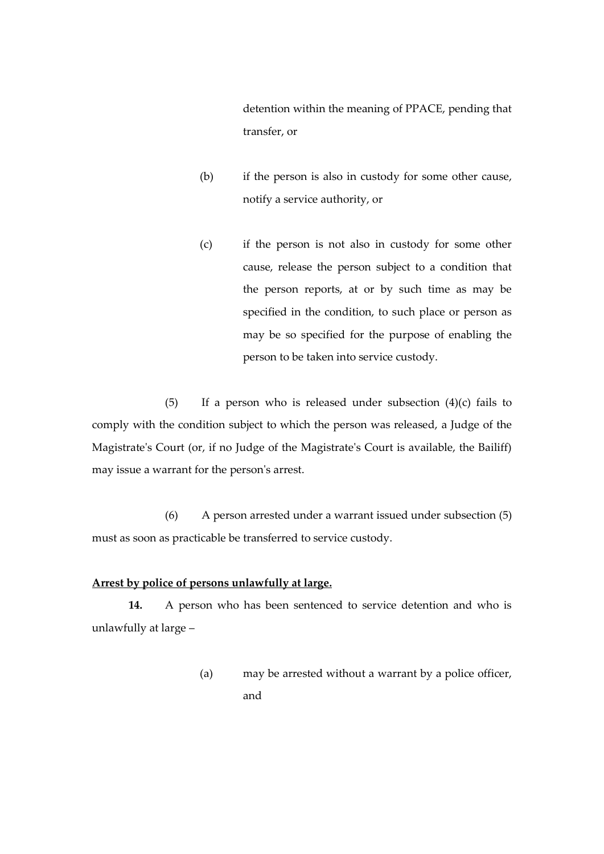detention within the meaning of PPACE, pending that transfer, or

- (b) if the person is also in custody for some other cause, notify a service authority, or
- (c) if the person is not also in custody for some other cause, release the person subject to a condition that the person reports, at or by such time as may be specified in the condition, to such place or person as may be so specified for the purpose of enabling the person to be taken into service custody.

(5) If a person who is released under subsection  $(4)(c)$  fails to comply with the condition subject to which the person was released, a Judge of the Magistrate's Court (or, if no Judge of the Magistrate's Court is available, the Bailiff) may issue a warrant for the person's arrest.

(6) A person arrested under a warrant issued under subsection (5) must as soon as practicable be transferred to service custody.

#### **Arrest by police of persons unlawfully at large.**

**14.** A person who has been sentenced to service detention and who is unlawfully at large –

> (a) may be arrested without a warrant by a police officer, and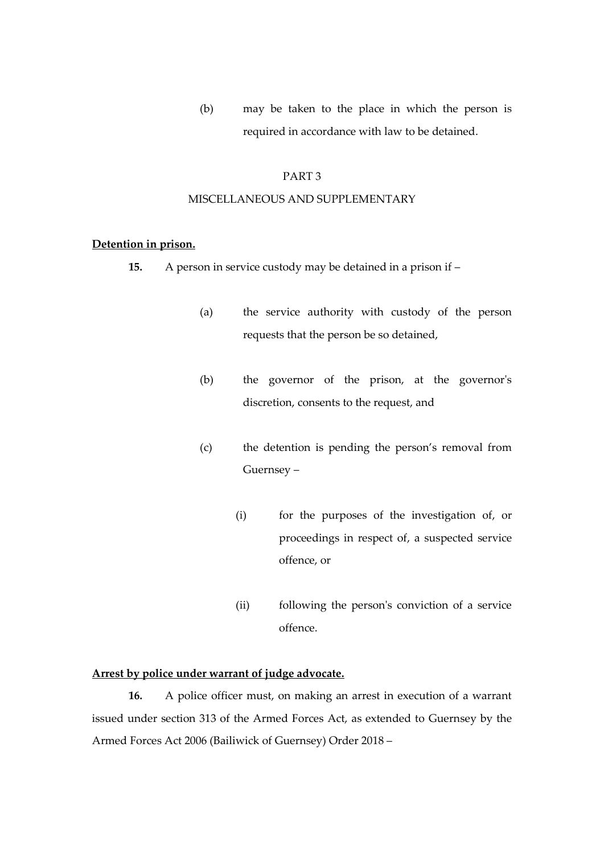(b) may be taken to the place in which the person is required in accordance with law to be detained.

#### PART 3

#### MISCELLANEOUS AND SUPPLEMENTARY

#### **Detention in prison.**

- **15.** A person in service custody may be detained in a prison if
	- (a) the service authority with custody of the person requests that the person be so detained,
	- (b) the governor of the prison, at the governor's discretion, consents to the request, and
	- (c) the detention is pending the person's removal from Guernsey –
		- (i) for the purposes of the investigation of, or proceedings in respect of, a suspected service offence, or
		- (ii) following the person's conviction of a service offence.

## **Arrest by police under warrant of judge advocate.**

**16.** A police officer must, on making an arrest in execution of a warrant issued under section 313 of the Armed Forces Act, as extended to Guernsey by the Armed Forces Act 2006 (Bailiwick of Guernsey) Order 2018 –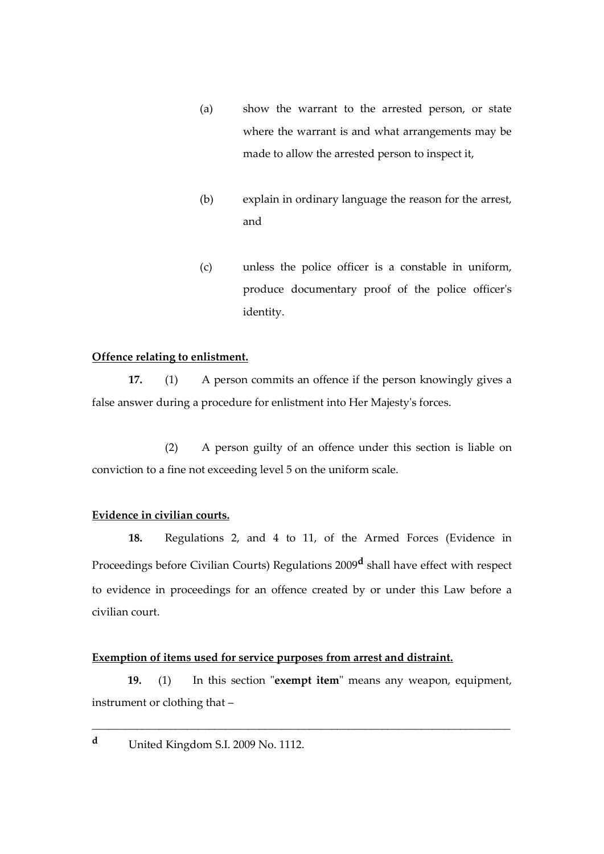- (a) show the warrant to the arrested person, or state where the warrant is and what arrangements may be made to allow the arrested person to inspect it,
- (b) explain in ordinary language the reason for the arrest, and
- (c) unless the police officer is a constable in uniform, produce documentary proof of the police officer's identity.

#### **Offence relating to enlistment.**

**17.** (1) A person commits an offence if the person knowingly gives a false answer during a procedure for enlistment into Her Majesty's forces.

(2) A person guilty of an offence under this section is liable on conviction to a fine not exceeding level 5 on the uniform scale.

## **Evidence in civilian courts.**

**18.** Regulations 2, and 4 to 11, of the Armed Forces (Evidence in Proceedings before Civilian Courts) Regulations 2009**<sup>d</sup>** shall have effect with respect to evidence in proceedings for an offence created by or under this Law before a civilian court.

#### **Exemption of items used for service purposes from arrest and distraint.**

 **19.** (1) In this section "**exempt item**" means any weapon, equipment, instrument or clothing that –

\_\_\_\_\_\_\_\_\_\_\_\_\_\_\_\_\_\_\_\_\_\_\_\_\_\_\_\_\_\_\_\_\_\_\_\_\_\_\_\_\_\_\_\_\_\_\_\_\_\_\_\_\_\_\_\_\_\_\_\_\_\_\_\_\_\_\_\_\_\_\_\_\_\_\_

**<sup>d</sup>** United Kingdom S.I. 2009 No. 1112.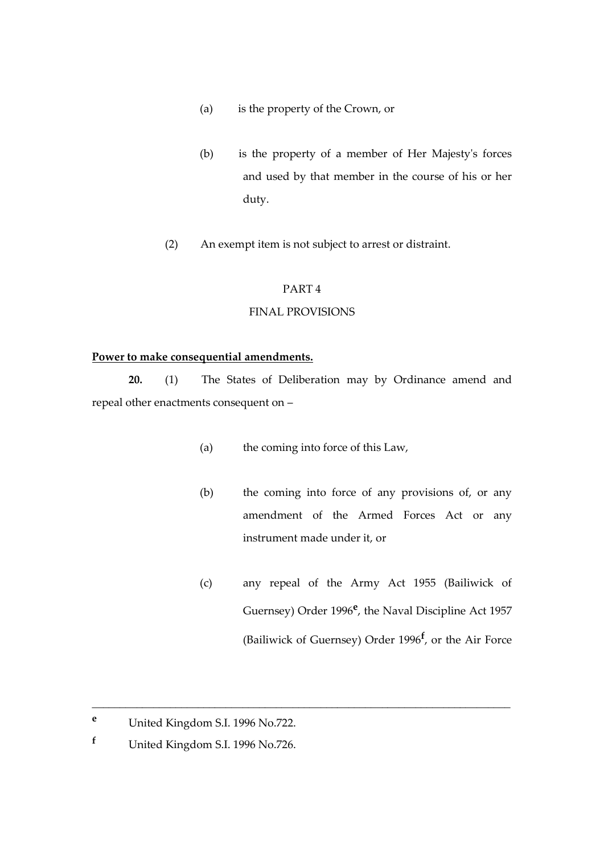- (a) is the property of the Crown, or
- (b) is the property of a member of Her Majesty's forces and used by that member in the course of his or her duty.
- (2) An exempt item is not subject to arrest or distraint.

## PART 4

#### FINAL PROVISIONS

#### **Power to make consequential amendments.**

**20.** (1) The States of Deliberation may by Ordinance amend and repeal other enactments consequent on –

(a) the coming into force of this Law,

\_\_\_\_\_\_\_\_\_\_\_\_\_\_\_\_\_\_\_\_\_\_\_\_\_\_\_\_\_\_\_\_\_\_\_\_\_\_\_\_\_\_\_\_\_\_\_\_\_\_\_\_\_\_\_\_\_\_\_\_\_\_\_\_\_\_\_\_\_\_\_\_\_\_\_

- (b) the coming into force of any provisions of, or any amendment of the Armed Forces Act or any instrument made under it, or
- (c) any repeal of the Army Act 1955 (Bailiwick of Guernsey) Order 1996<sup>e</sup>, the Naval Discipline Act 1957 (Bailiwick of Guernsey) Order 1996**<sup>f</sup>** , or the Air Force

**<sup>e</sup>** United Kingdom S.I. 1996 No.722.

**<sup>f</sup>** United Kingdom S.I. 1996 No.726.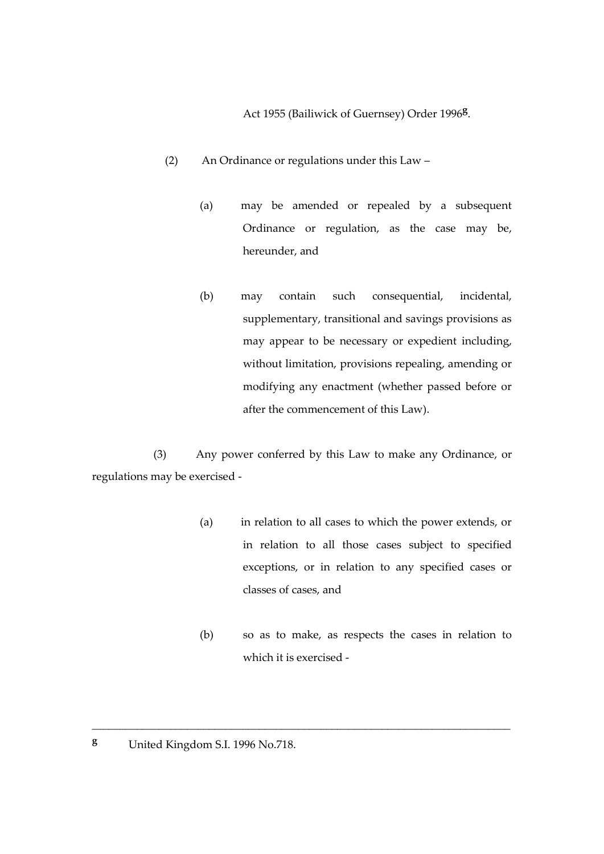Act 1955 (Bailiwick of Guernsey) Order 1996**<sup>g</sup>** .

- (2) An Ordinance or regulations under this Law
	- (a) may be amended or repealed by a subsequent Ordinance or regulation, as the case may be, hereunder, and
	- (b) may contain such consequential, incidental, supplementary, transitional and savings provisions as may appear to be necessary or expedient including, without limitation, provisions repealing, amending or modifying any enactment (whether passed before or after the commencement of this Law).

 (3) Any power conferred by this Law to make any Ordinance, or regulations may be exercised -

\_\_\_\_\_\_\_\_\_\_\_\_\_\_\_\_\_\_\_\_\_\_\_\_\_\_\_\_\_\_\_\_\_\_\_\_\_\_\_\_\_\_\_\_\_\_\_\_\_\_\_\_\_\_\_\_\_\_\_\_\_\_\_\_\_\_\_\_\_\_\_\_\_\_\_

- (a) in relation to all cases to which the power extends, or in relation to all those cases subject to specified exceptions, or in relation to any specified cases or classes of cases, and
- (b) so as to make, as respects the cases in relation to which it is exercised -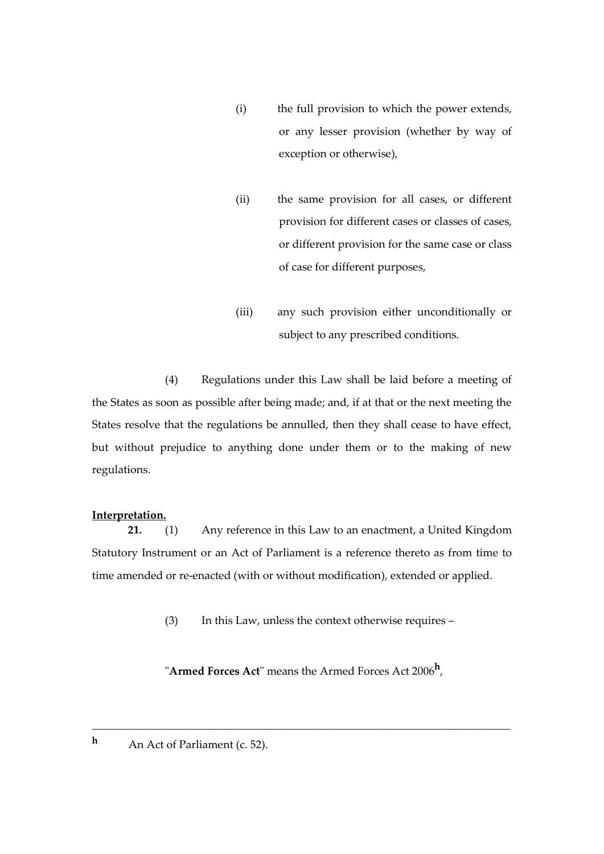- (i) the full provision to which the power extends, or any lesser provision (whether by way of exception or otherwise),
- (ii) the same provision for all cases, or different provision for different cases or classes of cases, or different provision for the same case or class of case for different purposes,
- (iii) any such provision either unconditionally or subject to any prescribed conditions.

(4) Regulations under this Law shall be laid before a meeting of the States as soon as possible after being made; and, if at that or the next meeting the States resolve that the regulations be annulled, then they shall cease to have effect, but without prejudice to anything done under them or to the making of new regulations.

## **Interpretation.**

**21.** (1) Any reference in this Law to an enactment, a United Kingdom Statutory Instrument or an Act of Parliament is a reference thereto as from time to time amended or re-enacted (with or without modification), extended or applied.

(3) In this Law, unless the context otherwise requires –

"**Armed Forces Act**" means the Armed Forces Act 2006**<sup>h</sup>** ,

\_\_\_\_\_\_\_\_\_\_\_\_\_\_\_\_\_\_\_\_\_\_\_\_\_\_\_\_\_\_\_\_\_\_\_\_\_\_\_\_\_\_\_\_\_\_\_\_\_\_\_\_\_\_\_\_\_\_\_\_\_\_\_\_\_\_\_\_\_\_\_\_\_\_\_

**h** An Act of Parliament (c. 52).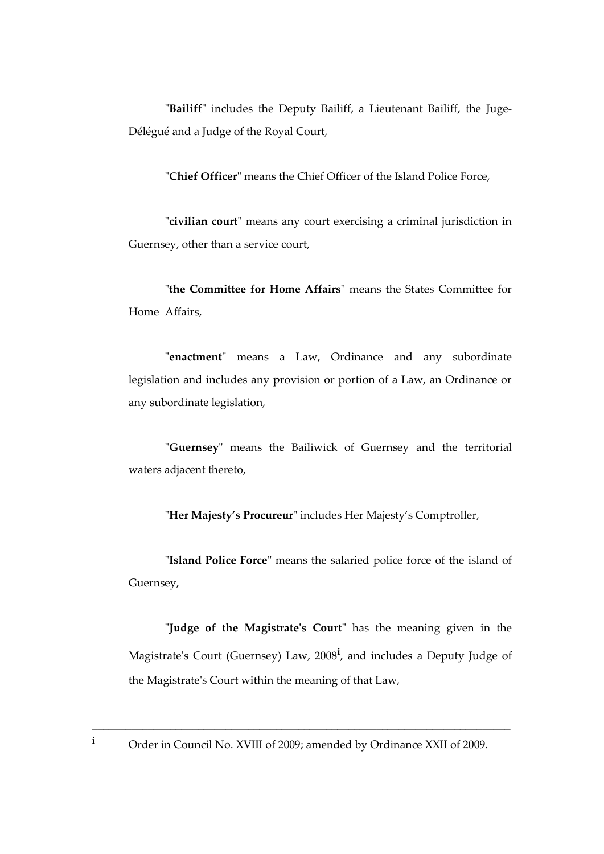"**Bailiff**" includes the Deputy Bailiff, a Lieutenant Bailiff, the Juge-Délégué and a Judge of the Royal Court,

"**Chief Officer**" means the Chief Officer of the Island Police Force,

"**civilian court**" means any court exercising a criminal jurisdiction in Guernsey, other than a service court,

"**the Committee for Home Affairs**" means the States Committee for Home Affairs,

"**enactment**" means a Law, Ordinance and any subordinate legislation and includes any provision or portion of a Law, an Ordinance or any subordinate legislation,

"**Guernsey**" means the Bailiwick of Guernsey and the territorial waters adjacent thereto,

"**Her Majesty's Procureur**" includes Her Majesty's Comptroller,

"**Island Police Force**" means the salaried police force of the island of Guernsey,

"**Judge of the Magistrate's Court**" has the meaning given in the Magistrate's Court (Guernsey) Law, 2008**<sup>i</sup>** , and includes a Deputy Judge of the Magistrate's Court within the meaning of that Law,

\_\_\_\_\_\_\_\_\_\_\_\_\_\_\_\_\_\_\_\_\_\_\_\_\_\_\_\_\_\_\_\_\_\_\_\_\_\_\_\_\_\_\_\_\_\_\_\_\_\_\_\_\_\_\_\_\_\_\_\_\_\_\_\_\_\_\_\_\_\_\_\_\_\_\_ **<sup>i</sup>** Order in Council No. XVIII of 2009; amended by Ordinance XXII of 2009.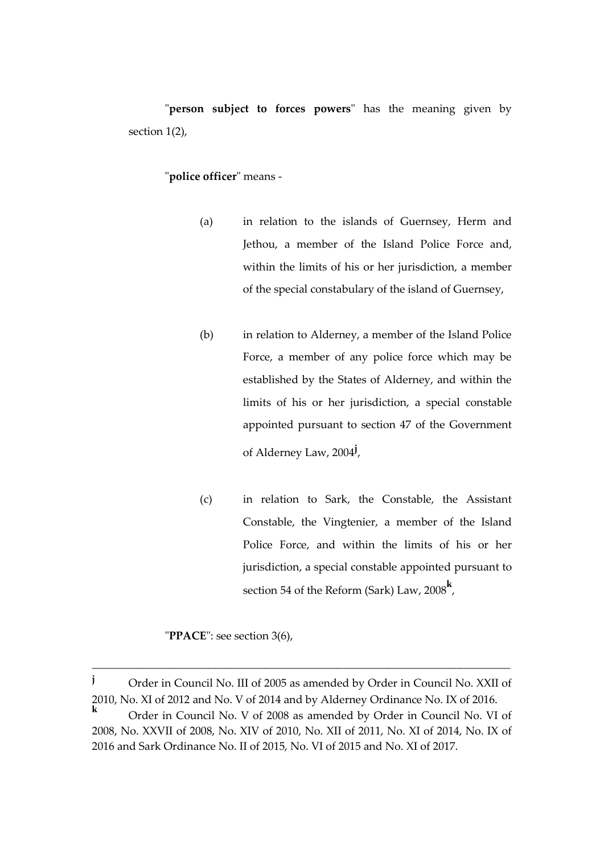"**person subject to forces powers**" has the meaning given by section 1(2),

#### "**police officer**" means -

- (a) in relation to the islands of Guernsey, Herm and Jethou, a member of the Island Police Force and, within the limits of his or her jurisdiction, a member of the special constabulary of the island of Guernsey,
- (b) in relation to Alderney, a member of the Island Police Force, a member of any police force which may be established by the States of Alderney, and within the limits of his or her jurisdiction, a special constable appointed pursuant to section 47 of the Government of Alderney Law, 2004**<sup>j</sup>** ,
- (c) in relation to Sark, the Constable, the Assistant Constable, the Vingtenier, a member of the Island Police Force, and within the limits of his or her jurisdiction, a special constable appointed pursuant to section 54 of the Reform (Sark) Law, 2008**<sup>k</sup>** ,

"**PPACE**": see section 3(6),

\_\_\_\_\_\_\_\_\_\_\_\_\_\_\_\_\_\_\_\_\_\_\_\_\_\_\_\_\_\_\_\_\_\_\_\_\_\_\_\_\_\_\_\_\_\_\_\_\_\_\_\_\_\_\_\_\_\_\_\_\_\_\_\_\_\_\_\_\_\_\_\_\_\_\_

**<sup>j</sup>** Order in Council No. III of 2005 as amended by Order in Council No. XXII of 2010, No. XI of 2012 and No. V of 2014 and by Alderney Ordinance No. IX of 2016. **<sup>k</sup>** Order in Council No. V of 2008 as amended by Order in Council No. VI of 2008, No. XXVII of 2008, No. XIV of 2010, No. XII of 2011, No. XI of 2014, No. IX of 2016 and Sark Ordinance No. II of 2015, No. VI of 2015 and No. XI of 2017.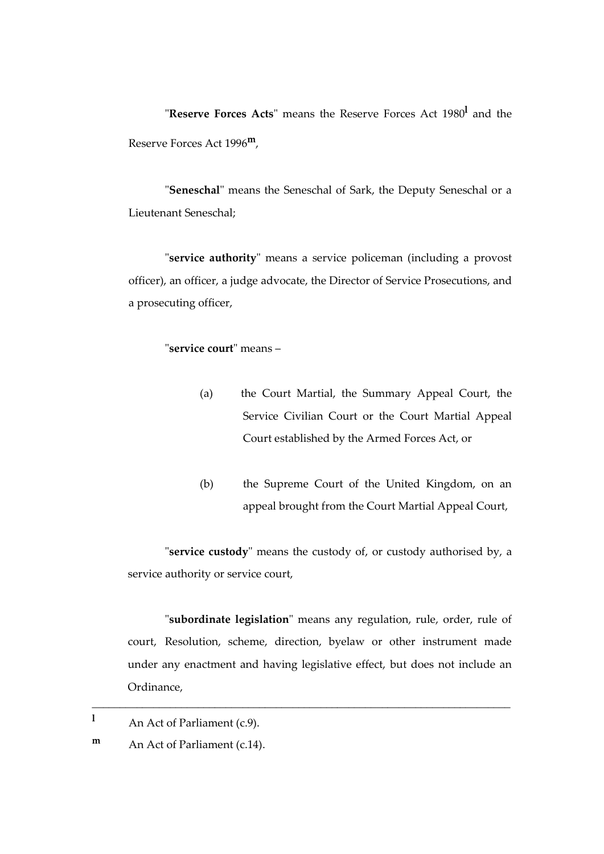"**Reserve Forces Acts**" means the Reserve Forces Act 1980**<sup>l</sup>** and the Reserve Forces Act 1996**m**,

"**Seneschal**" means the Seneschal of Sark, the Deputy Seneschal or a Lieutenant Seneschal;

"**service authority**" means a service policeman (including a provost officer), an officer, a judge advocate, the Director of Service Prosecutions, and a prosecuting officer,

## "**service court**" means –

- (a) the Court Martial, the Summary Appeal Court, the Service Civilian Court or the Court Martial Appeal Court established by the Armed Forces Act, or
- (b) the Supreme Court of the United Kingdom, on an appeal brought from the Court Martial Appeal Court,

"**service custody**" means the custody of, or custody authorised by, a service authority or service court,

"**subordinate legislation**" means any regulation, rule, order, rule of court, Resolution, scheme, direction, byelaw or other instrument made under any enactment and having legislative effect, but does not include an Ordinance,

\_\_\_\_\_\_\_\_\_\_\_\_\_\_\_\_\_\_\_\_\_\_\_\_\_\_\_\_\_\_\_\_\_\_\_\_\_\_\_\_\_\_\_\_\_\_\_\_\_\_\_\_\_\_\_\_\_\_\_\_\_\_\_\_\_\_\_\_\_\_\_\_\_\_\_

**<sup>l</sup>** An Act of Parliament (c.9).

**m** An Act of Parliament (c.14).